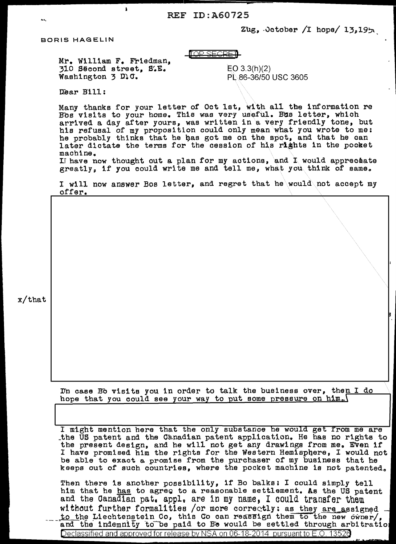REF ID:A60725<br> $z_{\text{ug}}$ , october /I hope/ 13.19 $\gamma$ 

## BORIS HAGELIN

 $\overline{1}$ IOP SECRFI $\overline{1}$ 

Mr. William F. Friedman, 310 Second street, S~E. Washington 3 D.C.

 $EO$  3.3(h)(2) PL 86-36/50 USC 3605

Dear Bill:

Many thanks for your letter of Oct lat, with all the information re Bos visits to your home. This was very useful. Bus letter, which arrived a day after yours, was written in a very friendly tone, but his refusal of my proposition could only mean what you wrote to me: he probably thinks that he has got me on the spot, and that he can later dictate the terms for the cession of his rights in the pocket machine. I have now thought out a plan for my actions, and I would appreceate greatly, if you could write me and tell me, what you think of same.

I will now answer Bos letter, and regret that he\would\not accept my off er.

x/that

I'm case Bo visits you in order to talk the business over, then I do hope that you could see your way to put some pressure on him.

I might mention here that the only substance he would get from me are \_the US patent and the Ca.nad1an patent application. He has no rtghte to the present design, and he will not get any drawings from me. Even 1f I have promised him the rights for the Western Hemisphere, I would not be able to exact a promise from the purchaser of my business that he keeps out of such countries, where the pocket machine is not patented.

Then there is another possibility, if Bo balks: I could simply tell him that he has to agree to a reasonable settlement. As the US patent and the Canadian pat. appl. are in my name, I could transfer them without further formalities /or more correctly: as they are assigned to the Liechtenstein Co, this Co can reassign them to the new owner/. and the indemnity to be paid to Be would be settled through arbitration

Declassified and approved for release by NSA on 06-18-2014 pursuant to E.O. 1352e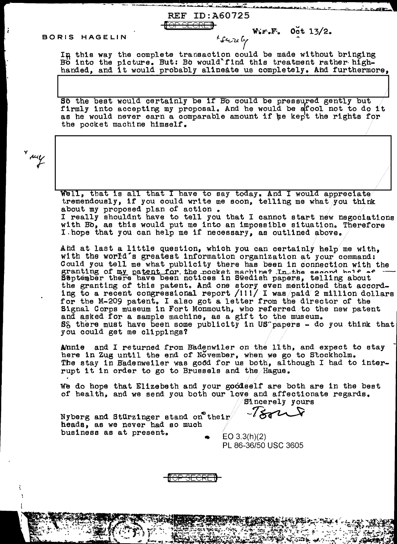## BORIS HAGELIN

 $W_6F_6$  Oct 13/2.

In this way the complete transaction could be made without bringing Bo into the picture. But: Bo would'find this treatment rather highhanded, and it would probably alineate us completely. And furthermore,

**REF ID:A60725** 

Sô the best would certainly be if Bo could be pressured gently but firmly into accepting my proposal. And he would be a fool not to do it as he would never earn a comparable amount if he kept the rights for the pocket machine himself.

y sury

Well, that is all that I have to say today, And I would appreciate tremendously, if you could write me soon, telling me what you think about my proposed plan of action. I really shouldnt have to tell you that I cannot start new negociations with Bo, as this would put me into an impossible situation. Therefore<br>I hope that you can help me if necessary, as outlined above.

And at last a little question, which you can certainly help me with, with the world's greatest information organization at your command: Could you tell me what publicity there has been in connection with the granting of my patent for the pocket machine? In the second bolf af the granting of this patent. And one story even mentioned that according to a recent congressional report /111/ I was paid 2 million dollars<br>for the M-209 patent. I also got a letter from the director of the Signal Corps museum in Fort Monmouth, who referred to the new patent and asked for a sample machine, as a gift to the museum. S<sub>6</sub> there must have been some publicity in US papers - do you think that you could get me clippings?

Annie and I returned from Badenwiler on the 11th, and expect to stay here in Zug until the end of November, when we go to Stockholm. The stay in Badenweiler was good for us both, although I had to interrupt it in order to go to Brussels and the Hague.

We do hope that Elizebeth and your goodself are both are in the best of health, and we send you both our love and affectionate regards. Sincerely yours

 $-7882$  $\boldsymbol{\lambda}$ 

Nyberg and Stürzinger stand on their heads, as we never had so much business as at present.

 $EO 3.3(h)(2)$ PL 86-36/50 USC 3605

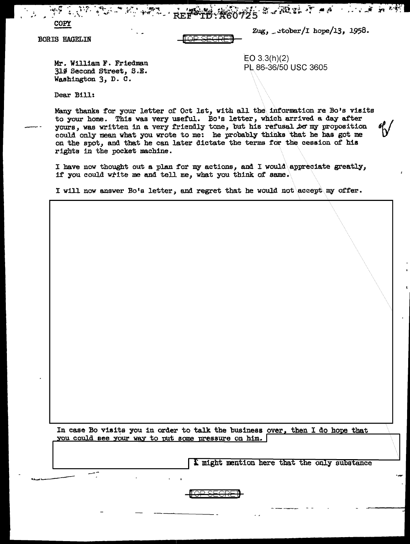<sub>(</sub>高端的 医血液 小心病 的 PR **A60725** 

**BORIS HAGELIN** 

COPY

Zug, \_ctober/I hope/13, 1958.

Mr. William F. Friedman 310 Second Street, S.E. Washington 3, D. C.

 $EO 3.3(h)(2)$ PL 86-36/50 USC 3605

Dear Bill:

Many thanks for your letter of Oct 1st, with all the information re Bo's visits to your home. This was very useful. Bo's letter, which arrived a day after yours, was written in a very friendly tone, but his refusal to my proposition could only mean what you wrote to me: he probably thinks that he has got me on the spot, and that he can later dictate the terms for the cession of his rights in the pocket machine.

I have now thought out a plan for my actions, and I would appreciate greatly, if you could write me and tell me, what you think of same.

I will now answer Bo's letter, and regret that he would not accept my offer.

In case Bo visits you in order to talk the business over, then I do hope that you could see your way to put some pressure on him.

I might mention here that the only substance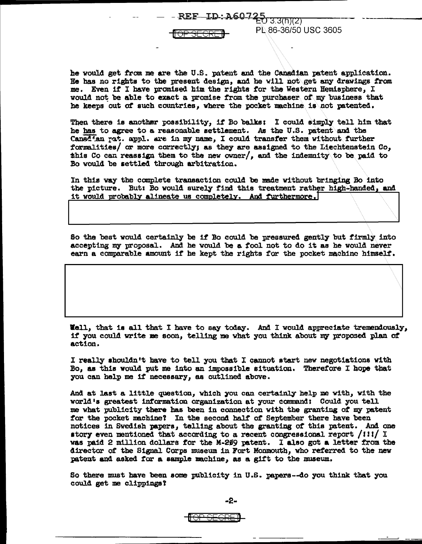REF—ID-: A60-725 3.3(ከ)(2)



he would get from me are the U.S. patent and the Canadian patent application. Be has no rights to the present design, and he will not\get any drawings f'rom me. Even it I have promised him the rights tor the Western Hemisphere, I would not be able to exact a promise from the purchaser of my business that he keeps out of such countries, where the pocket machine is not patented.

**PL.86-36/50 USC 3605** 

Then there is another possibility, if Bo balks: I could simply tell him that he has to agree to a reasonable settlement. *As* the U .s. patent and the Canad'an rat. appl. are in my name, I could transfer them without further formalities/ or more correctly; as they are assigned to the Liechtenstein Co, this Co can reassign them to the new owner/, and the indemnity to be paid to Bo would be settled through arbitration.

In this way the complete transaction could be made without bringing Bo into the picture. But: Bo would surely find this treatment rather high-handed, and it would probably alineate us completely. And furthermore,

So the best would certainly be if Bo could be pressured gently but firmly into accepting my proposal. And he would be a fool not to do it as he would never earn a comparable amount it he kept the rights for the pocket machine himselt.

Well, that ia all that I have to say today. And I would appreciate tremendously, if you could write me soon, telling me what you think about my proposed plan of action.

I really shouldn't have to tell you that I cannot start new negotiations with Bo, as this would put me into an impossible situation. Therefore I hope that you can help me if necessary, as outlined above.

And at last a 11ttle question, which you can certainly belp me with, with the world's greatest information organization at your command: Could you tell me what publicity there has been in connection with the granting of my patent for the pocket machine? In the second half of September there have been notices in Swedish papers, telling about the granting or this patent. And one story even mentioned that according to a recent congressional report  $/1!1/1$ was paid 2 million dollars for the M-269 patent. I also got a letter from the director of the Signal Corps museum in Fort Monmouth, who referred to the new patent and asked for a sample machine, as a gift to the museum.

So there must have been some publicity in U.S. papers---do you think that you could get me clippings?

<del>[OP SEGREI]</del>